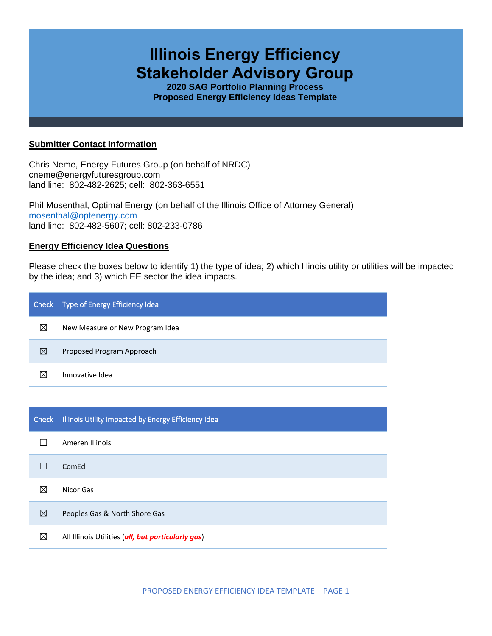# **Illinois Energy Efficiency Stakeholder Advisory Group**

**2020 SAG Portfolio Planning Process Proposed Energy Efficiency Ideas Template**

## **Submitter Contact Information**

Chris Neme, Energy Futures Group (on behalf of NRDC) cneme@energyfuturesgroup.com land line: 802-482-2625; cell: 802-363-6551

Phil Mosenthal, Optimal Energy (on behalf of the Illinois Office of Attorney General) [mosenthal@optenergy.com](mailto:mosenthal@optenergy.com) land line: 802-482-5607; cell: 802-233-0786

## **Energy Efficiency Idea Questions**

Please check the boxes below to identify 1) the type of idea; 2) which Illinois utility or utilities will be impacted by the idea; and 3) which EE sector the idea impacts.

| Check       | Type of Energy Efficiency Idea  |
|-------------|---------------------------------|
| ⊠           | New Measure or New Program Idea |
| ⊠           | Proposed Program Approach       |
| $\boxtimes$ | Innovative Idea                 |

| <b>Check</b> | Illinois Utility Impacted by Energy Efficiency Idea |
|--------------|-----------------------------------------------------|
|              | Ameren Illinois                                     |
|              | ComEd                                               |
| ⊠            | Nicor Gas                                           |
| ⊠            | Peoples Gas & North Shore Gas                       |
| ⊠            | All Illinois Utilities (all, but particularly gas)  |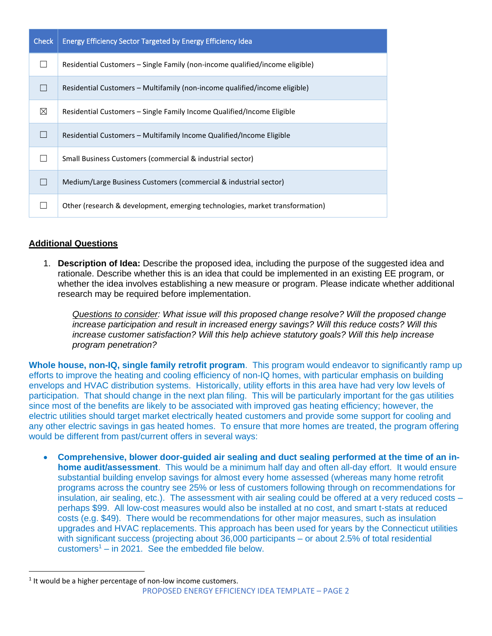| <b>Check</b> | <b>Energy Efficiency Sector Targeted by Energy Efficiency Idea</b>           |
|--------------|------------------------------------------------------------------------------|
|              | Residential Customers – Single Family (non-income qualified/income eligible) |
| $\Box$       | Residential Customers – Multifamily (non-income qualified/income eligible)   |
| ⊠            | Residential Customers – Single Family Income Qualified/Income Eligible       |
|              | Residential Customers – Multifamily Income Qualified/Income Eligible         |
|              | Small Business Customers (commercial & industrial sector)                    |
|              | Medium/Large Business Customers (commercial & industrial sector)             |
|              | Other (research & development, emerging technologies, market transformation) |

## **Additional Questions**

1. **Description of Idea:** Describe the proposed idea, including the purpose of the suggested idea and rationale. Describe whether this is an idea that could be implemented in an existing EE program, or whether the idea involves establishing a new measure or program. Please indicate whether additional research may be required before implementation.

*Questions to consider: What issue will this proposed change resolve? Will the proposed change increase participation and result in increased energy savings? Will this reduce costs? Will this*  increase customer satisfaction? Will this help achieve statutory goals? Will this help increase *program penetration?* 

**Whole house, non-IQ, single family retrofit program**. This program would endeavor to significantly ramp up efforts to improve the heating and cooling efficiency of non-IQ homes, with particular emphasis on building envelops and HVAC distribution systems. Historically, utility efforts in this area have had very low levels of participation. That should change in the next plan filing. This will be particularly important for the gas utilities since most of the benefits are likely to be associated with improved gas heating efficiency; however, the electric utilities should target market electrically heated customers and provide some support for cooling and any other electric savings in gas heated homes. To ensure that more homes are treated, the program offering would be different from past/current offers in several ways:

• **Comprehensive, blower door-guided air sealing and duct sealing performed at the time of an inhome audit/assessment**. This would be a minimum half day and often all-day effort. It would ensure substantial building envelop savings for almost every home assessed (whereas many home retrofit programs across the country see 25% or less of customers following through on recommendations for insulation, air sealing, etc.). The assessment with air sealing could be offered at a very reduced costs – perhaps \$99. All low-cost measures would also be installed at no cost, and smart t-stats at reduced costs (e.g. \$49). There would be recommendations for other major measures, such as insulation upgrades and HVAC replacements. This approach has been used for years by the Connecticut utilities with significant success (projecting about 36,000 participants – or about 2.5% of total residential  $\text{customers}^1 - \text{in } 2021$ . See the embedded file below.

 $1$  It would be a higher percentage of non-low income customers.

PROPOSED ENERGY EFFICIENCY IDEA TEMPLATE – PAGE 2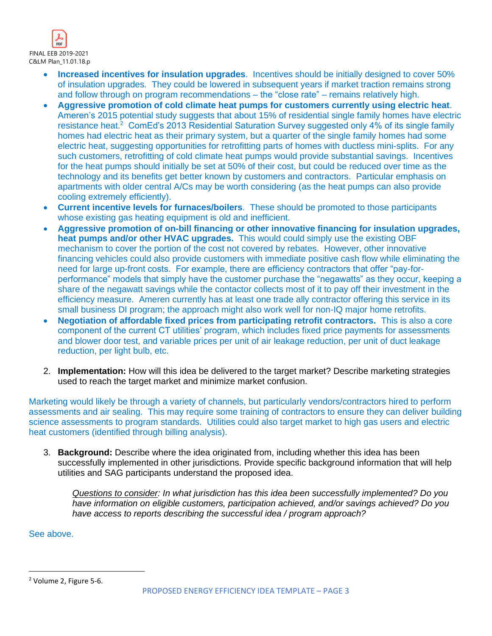

- **Increased incentives for insulation upgrades**. Incentives should be initially designed to cover 50% of insulation upgrades. They could be lowered in subsequent years if market traction remains strong and follow through on program recommendations – the "close rate" – remains relatively high.
- **Aggressive promotion of cold climate heat pumps for customers currently using electric heat**. Ameren's 2015 potential study suggests that about 15% of residential single family homes have electric resistance heat.<sup>2</sup> ComEd's 2013 Residential Saturation Survey suggested only 4% of its single family homes had electric heat as their primary system, but a quarter of the single family homes had some electric heat, suggesting opportunities for retrofitting parts of homes with ductless mini-splits. For any such customers, retrofitting of cold climate heat pumps would provide substantial savings. Incentives for the heat pumps should initially be set at 50% of their cost, but could be reduced over time as the technology and its benefits get better known by customers and contractors. Particular emphasis on apartments with older central A/Cs may be worth considering (as the heat pumps can also provide cooling extremely efficiently).
- **Current incentive levels for furnaces/boilers**. These should be promoted to those participants whose existing gas heating equipment is old and inefficient.
- **Aggressive promotion of on-bill financing or other innovative financing for insulation upgrades, heat pumps and/or other HVAC upgrades.** This would could simply use the existing OBF mechanism to cover the portion of the cost not covered by rebates. However, other innovative financing vehicles could also provide customers with immediate positive cash flow while eliminating the need for large up-front costs. For example, there are efficiency contractors that offer "pay-forperformance" models that simply have the customer purchase the "negawatts" as they occur, keeping a share of the negawatt savings while the contactor collects most of it to pay off their investment in the efficiency measure. Ameren currently has at least one trade ally contractor offering this service in its small business DI program; the approach might also work well for non-IQ major home retrofits.
- **Negotiation of affordable fixed prices from participating retrofit contractors.** This is also a core component of the current CT utilities' program, which includes fixed price payments for assessments and blower door test, and variable prices per unit of air leakage reduction, per unit of duct leakage reduction, per light bulb, etc.
- 2. **Implementation:** How will this idea be delivered to the target market? Describe marketing strategies used to reach the target market and minimize market confusion.

Marketing would likely be through a variety of channels, but particularly vendors/contractors hired to perform assessments and air sealing. This may require some training of contractors to ensure they can deliver building science assessments to program standards. Utilities could also target market to high gas users and electric heat customers (identified through billing analysis).

3. **Background:** Describe where the idea originated from, including whether this idea has been successfully implemented in other jurisdictions. Provide specific background information that will help utilities and SAG participants understand the proposed idea.

*Questions to consider: In what jurisdiction has this idea been successfully implemented? Do you have information on eligible customers, participation achieved, and/or savings achieved? Do you have access to reports describing the successful idea / program approach?* 

See above.

<sup>2</sup> Volume 2, Figure 5-6.